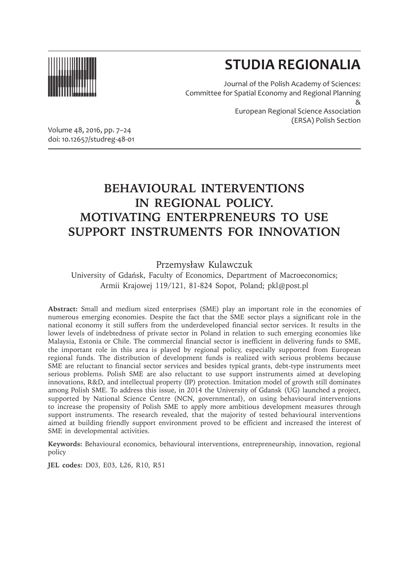

# **STUDIA REGIONALIA**

(ERSA) Polish Section

Journal of the Polish Academy of Sciences: Committee for Spatial Economy and Regional Planning & European Regional Science Association

Volume 48, 2016, pp. 7–24 doi: 10.12657/studreg-48-01

## **BEHAVIOURAL INTERVENTIONS IN REGIONAL POLICY. MOTIVATING ENTERPRENEURS TO USE SUPPORT INSTRUMENTS FOR INNOVATION**

#### Przemysław Kulawczuk

University of Gdańsk, Faculty of Economics, Department of Macroeconomics; Armii Krajowej 119/121, 81-824 Sopot, Poland; pkl@post.pl

**Abstract:** Small and medium sized enterprises (SME) play an important role in the economies of numerous emerging economies. Despite the fact that the SME sector plays a significant role in the national economy it still suffers from the underdeveloped financial sector services. It results in the lower levels of indebtedness of private sector in Poland in relation to such emerging economies like Malaysia, Estonia or Chile. The commercial financial sector is inefficient in delivering funds to SME, the important role in this area is played by regional policy, especially supported from European regional funds. The distribution of development funds is realized with serious problems because SME are reluctant to financial sector services and besides typical grants, debt-type instruments meet serious problems. Polish SME are also reluctant to use support instruments aimed at developing innovations, R&D, and intellectual property (IP) protection. Imitation model of growth still dominates among Polish SME. To address this issue, in 2014 the University of Gdansk (UG) launched a project, supported by National Science Centre (NCN, governmental), on using behavioural interventions to increase the propensity of Polish SME to apply more ambitious development measures through support instruments. The research revealed, that the majority of tested behavioural interventions aimed at building friendly support environment proved to be efficient and increased the interest of SME in developmental activities.

**Keywords:** Behavioural economics, behavioural interventions, entrepreneurship, innovation, regional policy

**JEL codes:** D03, E03, L26, R10, R51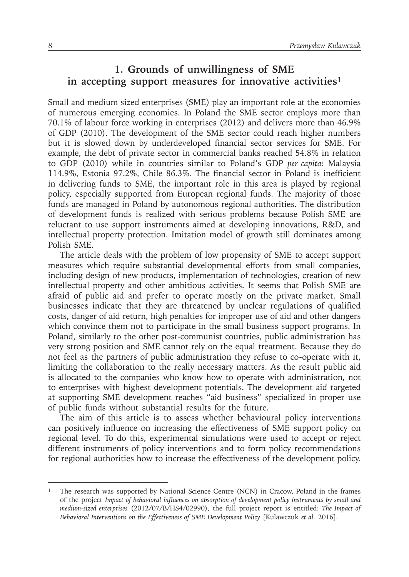#### **1. Grounds of unwillingness of SME in accepting support measures for innovative activities1**

Small and medium sized enterprises (SME) play an important role at the economies of numerous emerging economies. In Poland the SME sector employs more than 70.1% of labour force working in enterprises (2012) and delivers more than 46.9% of GDP (2010). The development of the SME sector could reach higher numbers but it is slowed down by underdeveloped financial sector services for SME. For example, the debt of private sector in commercial banks reached 54.8% in relation to GDP (2010) while in countries similar to Poland's GDP *per capita*: Malaysia 114.9%, Estonia 97.2%, Chile 86.3%. The financial sector in Poland is inefficient in delivering funds to SME, the important role in this area is played by regional policy, especially supported from European regional funds. The majority of those funds are managed in Poland by autonomous regional authorities. The distribution of development funds is realized with serious problems because Polish SME are reluctant to use support instruments aimed at developing innovations, R&D, and intellectual property protection. Imitation model of growth still dominates among Polish SME.

The article deals with the problem of low propensity of SME to accept support measures which require substantial developmental efforts from small companies, including design of new products, implementation of technologies, creation of new intellectual property and other ambitious activities. It seems that Polish SME are afraid of public aid and prefer to operate mostly on the private market. Small businesses indicate that they are threatened by unclear regulations of qualified costs, danger of aid return, high penalties for improper use of aid and other dangers which convince them not to participate in the small business support programs. In Poland, similarly to the other post-communist countries, public administration has very strong position and SME cannot rely on the equal treatment. Because they do not feel as the partners of public administration they refuse to co-operate with it, limiting the collaboration to the really necessary matters. As the result public aid is allocated to the companies who know how to operate with administration, not to enterprises with highest development potentials. The development aid targeted at supporting SME development reaches "aid business" specialized in proper use of public funds without substantial results for the future.

The aim of this article is to assess whether behavioural policy interventions can positively influence on increasing the effectiveness of SME support policy on regional level. To do this, experimental simulations were used to accept or reject different instruments of policy interventions and to form policy recommendations for regional authorities how to increase the effectiveness of the development policy.

<sup>1</sup> The research was supported by National Science Centre (NCN) in Cracow, Poland in the frames of the project *Impact of behavioral influences on absorption of development policy instruments by small and medium-sized enterprises* (2012/07/B/HS4/02990), the full project report is entitled: *The Impact of Behavioral Interventions on the Effectiveness of SME Development Policy* [Kulawczuk *et al.* 2016].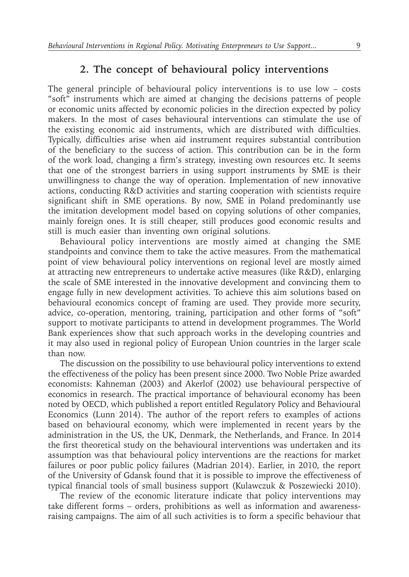#### **2. The concept of behavioural policy interventions**

The general principle of behavioural policy interventions is to use low – costs "soft" instruments which are aimed at changing the decisions patterns of people or economic units affected by economic policies in the direction expected by policy makers. In the most of cases behavioural interventions can stimulate the use of the existing economic aid instruments, which are distributed with difficulties. Typically, difficulties arise when aid instrument requires substantial contribution of the beneficiary to the success of action. This contribution can be in the form of the work load, changing a firm's strategy, investing own resources etc. It seems that one of the strongest barriers in using support instruments by SME is their unwillingness to change the way of operation. Implementation of new innovative actions, conducting R&D activities and starting cooperation with scientists require significant shift in SME operations. By now, SME in Poland predominantly use the imitation development model based on copying solutions of other companies, mainly foreign ones. It is still cheaper, still produces good economic results and still is much easier than inventing own original solutions.

Behavioural policy interventions are mostly aimed at changing the SME standpoints and convince them to take the active measures. From the mathematical point of view behavioural policy interventions on regional level are mostly aimed at attracting new entrepreneurs to undertake active measures (like R&D), enlarging the scale of SME interested in the innovative development and convincing them to engage fully in new development activities. To achieve this aim solutions based on behavioural economics concept of framing are used. They provide more security, advice, co-operation, mentoring, training, participation and other forms of "soft" support to motivate participants to attend in development programmes. The World Bank experiences show that such approach works in the developing countries and it may also used in regional policy of European Union countries in the larger scale than now.

The discussion on the possibility to use behavioural policy interventions to extend the effectiveness of the policy has been present since 2000. Two Noble Prize awarded economists: Kahneman (2003) and Akerlof (2002) use behavioural perspective of economics in research. The practical importance of behavioural economy has been noted by OECD, which published a report entitled Regulatory Policy and Behavioural Economics (Lunn 2014). The author of the report refers to examples of actions based on behavioural economy, which were implemented in recent years by the administration in the US, the UK, Denmark, the Netherlands, and France. In 2014 the first theoretical study on the behavioural interventions was undertaken and its assumption was that behavioural policy interventions are the reactions for market failures or poor public policy failures (Madrian 2014). Earlier, in 2010, the report of the University of Gdansk found that it is possible to improve the effectiveness of typical financial tools of small business support (Kulawczuk & Poszewiecki 2010).

The review of the economic literature indicate that policy interventions may take different forms – orders, prohibitions as well as information and awarenessraising campaigns. The aim of all such activities is to form a specific behaviour that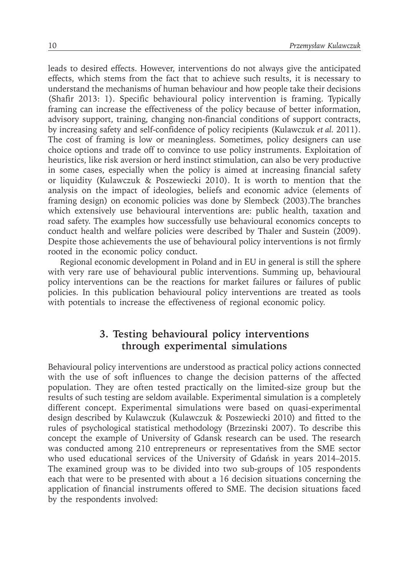leads to desired effects. However, interventions do not always give the anticipated effects, which stems from the fact that to achieve such results, it is necessary to understand the mechanisms of human behaviour and how people take their decisions (Shafir 2013: 1). Specific behavioural policy intervention is framing. Typically framing can increase the effectiveness of the policy because of better information, advisory support, training, changing non-financial conditions of support contracts, by increasing safety and self-confidence of policy recipients (Kulawczuk *et al.* 2011). The cost of framing is low or meaningless. Sometimes, policy designers can use choice options and trade off to convince to use policy instruments. Exploitation of heuristics, like risk aversion or herd instinct stimulation, can also be very productive in some cases, especially when the policy is aimed at increasing financial safety or liquidity (Kulawczuk & Poszewiecki 2010). It is worth to mention that the analysis on the impact of ideologies, beliefs and economic advice (elements of framing design) on economic policies was done by Slembeck (2003).The branches which extensively use behavioural interventions are: public health, taxation and road safety. The examples how successfully use behavioural economics concepts to conduct health and welfare policies were described by Thaler and Sustein (2009). Despite those achievements the use of behavioural policy interventions is not firmly rooted in the economic policy conduct.

Regional economic development in Poland and in EU in general is still the sphere with very rare use of behavioural public interventions. Summing up, behavioural policy interventions can be the reactions for market failures or failures of public policies. In this publication behavioural policy interventions are treated as tools with potentials to increase the effectiveness of regional economic policy.

#### **3. Testing behavioural policy interventions through experimental simulations**

Behavioural policy interventions are understood as practical policy actions connected with the use of soft influences to change the decision patterns of the affected population. They are often tested practically on the limited-size group but the results of such testing are seldom available. Experimental simulation is a completely different concept. Experimental simulations were based on quasi-experimental design described by Kulawczuk (Kulawczuk & Poszewiecki 2010) and fitted to the rules of psychological statistical methodology (Brzezinski 2007). To describe this concept the example of University of Gdansk research can be used. The research was conducted among 210 entrepreneurs or representatives from the SME sector who used educational services of the University of Gdańsk in years 2014–2015. The examined group was to be divided into two sub-groups of 105 respondents each that were to be presented with about a 16 decision situations concerning the application of financial instruments offered to SME. The decision situations faced by the respondents involved: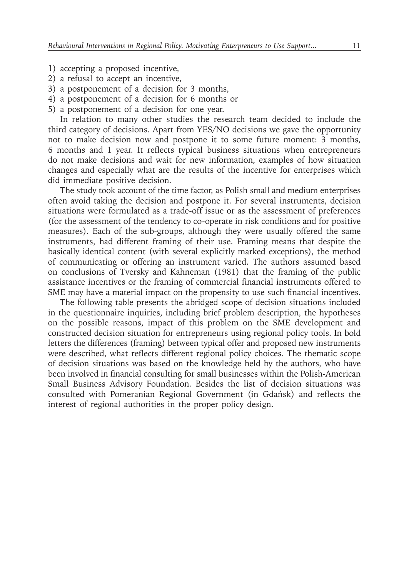- 1) accepting a proposed incentive,
- 2) a refusal to accept an incentive,
- 3) a postponement of a decision for 3 months,
- 4) a postponement of a decision for 6 months or
- 5) a postponement of a decision for one year.

In relation to many other studies the research team decided to include the third category of decisions. Apart from YES/NO decisions we gave the opportunity not to make decision now and postpone it to some future moment: 3 months, 6 months and 1 year. It reflects typical business situations when entrepreneurs do not make decisions and wait for new information, examples of how situation changes and especially what are the results of the incentive for enterprises which did immediate positive decision.

The study took account of the time factor, as Polish small and medium enterprises often avoid taking the decision and postpone it. For several instruments, decision situations were formulated as a trade-off issue or as the assessment of preferences (for the assessment of the tendency to co-operate in risk conditions and for positive measures). Each of the sub-groups, although they were usually offered the same instruments, had different framing of their use. Framing means that despite the basically identical content (with several explicitly marked exceptions), the method of communicating or offering an instrument varied. The authors assumed based on conclusions of Tversky and Kahneman (1981) that the framing of the public assistance incentives or the framing of commercial financial instruments offered to SME may have a material impact on the propensity to use such financial incentives.

The following table presents the abridged scope of decision situations included in the questionnaire inquiries, including brief problem description, the hypotheses on the possible reasons, impact of this problem on the SME development and constructed decision situation for entrepreneurs using regional policy tools. In bold letters the differences (framing) between typical offer and proposed new instruments were described, what reflects different regional policy choices. The thematic scope of decision situations was based on the knowledge held by the authors, who have been involved in financial consulting for small businesses within the Polish-American Small Business Advisory Foundation. Besides the list of decision situations was consulted with Pomeranian Regional Government (in Gdańsk) and reflects the interest of regional authorities in the proper policy design.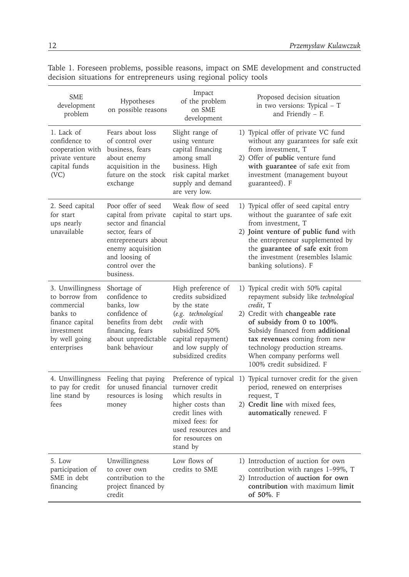| <b>SME</b><br>development<br>problem                                                                                          | Hypotheses<br>on possible reasons                                                                                                                                                     | Impact<br>of the problem<br>on SME<br>development                                                                                                                                 | Proposed decision situation<br>in two versions: Typical - T<br>and Friendly $-$ F.                                                                                                                                                                                                                                       |
|-------------------------------------------------------------------------------------------------------------------------------|---------------------------------------------------------------------------------------------------------------------------------------------------------------------------------------|-----------------------------------------------------------------------------------------------------------------------------------------------------------------------------------|--------------------------------------------------------------------------------------------------------------------------------------------------------------------------------------------------------------------------------------------------------------------------------------------------------------------------|
| 1. Lack of<br>confidence to<br>cooperation with<br>private venture<br>capital funds<br>(VC)                                   | Fears about loss<br>of control over<br>business, fears<br>about enemy<br>acquisition in the<br>future on the stock<br>exchange                                                        | Slight range of<br>using venture<br>capital financing<br>among small<br>business. High<br>risk capital market<br>supply and demand<br>are very low.                               | 1) Typical offer of private VC fund<br>without any guarantees for safe exit<br>from investment, T<br>2) Offer of public venture fund<br>with guarantee of safe exit from<br>investment (management buyout<br>guaranteed). F                                                                                              |
| 2. Seed capital<br>for start<br>ups nearly<br>unavailable                                                                     | Poor offer of seed<br>capital from private<br>sector and financial<br>sector, fears of<br>entrepreneurs about<br>enemy acquisition<br>and loosing of<br>control over the<br>business. | Weak flow of seed<br>capital to start ups.                                                                                                                                        | 1) Typical offer of seed capital entry<br>without the guarantee of safe exit<br>from investment. T<br>2) Joint venture of public fund with<br>the entrepreneur supplemented by<br>the guarantee of safe exit from<br>the investment (resembles Islamic<br>banking solutions). F                                          |
| 3. Unwillingness<br>to borrow from<br>commercial<br>banks to<br>finance capital<br>investment<br>by well going<br>enterprises | Shortage of<br>confidence to<br>banks. low<br>confidence of<br>benefits from debt<br>financing, fears<br>about unpredictable<br>bank behaviour                                        | High preference of<br>credits subsidized<br>by the state<br>(e.g. technological<br>credit with<br>subsidized 50%<br>capital repayment)<br>and low supply of<br>subsidized credits | 1) Typical credit with 50% capital<br>repayment subsidy like technological<br>credit, T<br>2) Credit with changeable rate<br>of subsidy from 0 to 100%.<br>Subsidy financed from additional<br>tax revenues coming from new<br>technology production streams.<br>When company performs well<br>100% credit subsidized. F |
| 4. Unwillingness<br>to pay for credit<br>line stand by<br>fees                                                                | Feeling that paying<br>for unused financial<br>resources is losing<br>money                                                                                                           | turnover credit<br>which results in<br>higher costs than<br>credit lines with<br>mixed fees: for<br>used resources and<br>for resources on<br>stand by                            | Preference of typical 1) Typical turnover credit for the given<br>period, renewed on enterprises<br>request, T<br>2) Credit line with mixed fees,<br>automatically renewed. F                                                                                                                                            |
| 5. Low<br>participation of<br>SME in debt<br>financing                                                                        | Unwillingness<br>to cover own<br>contribution to the<br>project financed by<br>credit                                                                                                 | Low flows of<br>credits to SME                                                                                                                                                    | 1) Introduction of auction for own<br>contribution with ranges 1–99%, T<br>2) Introduction of auction for own<br>contribution with maximum limit<br>of 50%. F                                                                                                                                                            |

Table 1. Foreseen problems, possible reasons, impact on SME development and constructed decision situations for entrepreneurs using regional policy tools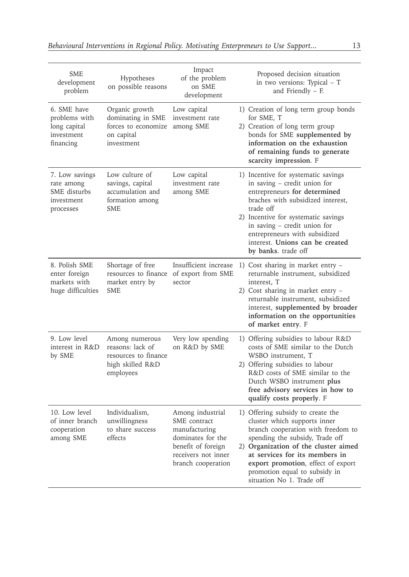| <b>SME</b><br>development<br>problem                                    | Hypotheses<br>on possible reasons                                                           | Impact<br>of the problem<br>on SME<br>development                                                                                         | Proposed decision situation<br>in two versions: Typical – T<br>and Friendly $-$ F.                                                                                                                                                                                                                                       |
|-------------------------------------------------------------------------|---------------------------------------------------------------------------------------------|-------------------------------------------------------------------------------------------------------------------------------------------|--------------------------------------------------------------------------------------------------------------------------------------------------------------------------------------------------------------------------------------------------------------------------------------------------------------------------|
| 6. SME have<br>problems with<br>long capital<br>investment<br>financing | Organic growth<br>dominating in SME<br>forces to economize<br>on capital<br>investment      | Low capital<br>investment rate<br>among SME                                                                                               | 1) Creation of long term group bonds<br>for SME, T<br>2) Creation of long term group<br>bonds for SME supplemented by<br>information on the exhaustion<br>of remaining funds to generate<br>scarcity impression. F                                                                                                       |
| 7. Low savings<br>rate among<br>SME disturbs<br>investment<br>processes | Low culture of<br>savings, capital<br>accumulation and<br>formation among<br><b>SME</b>     | Low capital<br>investment rate<br>among SME                                                                                               | 1) Incentive for systematic savings<br>in saving - credit union for<br>entrepreneurs for determined<br>braches with subsidized interest,<br>trade off<br>2) Incentive for systematic savings<br>in saving - credit union for<br>entrepreneurs with subsidized<br>interest. Unions can be created<br>by banks. trade off  |
| 8. Polish SME<br>enter foreign<br>markets with<br>huge difficulties     | Shortage of free<br>resources to finance<br>market entry by<br><b>SME</b>                   | Insufficient increase<br>of export from SME<br>sector                                                                                     | 1) Cost sharing in market entry –<br>returnable instrument, subsidized<br>interest, T<br>2) Cost sharing in market entry -<br>returnable instrument, subsidized<br>interest, supplemented by broader<br>information on the opportunities<br>of market entry. F                                                           |
| 9. Low level<br>interest in R&D<br>by SME                               | Among numerous<br>reasons: lack of<br>resources to finance<br>high skilled R&D<br>employees | Very low spending<br>on R&D by SME                                                                                                        | 1) Offering subsidies to labour R&D<br>costs of SME similar to the Dutch<br>WSBO instrument, T<br>2) Offering subsidies to labour<br>R&D costs of SME similar to the<br>Dutch WSBO instrument plus<br>free advisory services in how to<br>qualify costs properly. F                                                      |
| 10. Low level<br>of inner branch<br>cooperation<br>among SME            | Individualism,<br>unwillingness<br>to share success<br>effects                              | Among industrial<br>SME contract<br>manufacturing<br>dominates for the<br>benefit of foreign<br>receivers not inner<br>branch cooperation | 1) Offering subsidy to create the<br>cluster which supports inner<br>branch cooperation with freedom to<br>spending the subsidy, Trade off<br>2) Organization of the cluster aimed<br>at services for its members in<br>export promotion, effect of export<br>promotion equal to subsidy in<br>situation No 1. Trade off |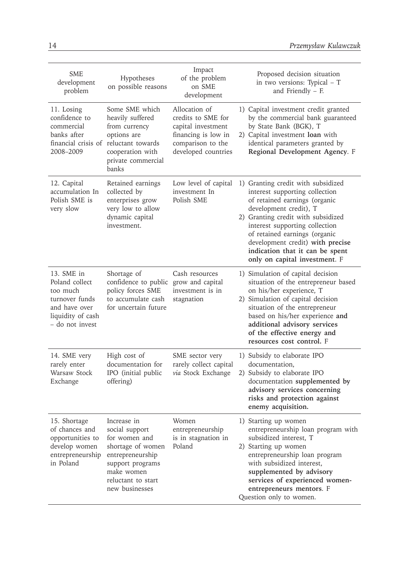| <b>SME</b><br>development<br>problem                                                                                | Hypotheses<br>on possible reasons                                                                                                                                 | Impact<br>of the problem<br>on SME<br>development                                                                            | Proposed decision situation<br>in two versions: Typical - T<br>and Friendly $-$ F.                                                                                                                                                                                                                                                               |
|---------------------------------------------------------------------------------------------------------------------|-------------------------------------------------------------------------------------------------------------------------------------------------------------------|------------------------------------------------------------------------------------------------------------------------------|--------------------------------------------------------------------------------------------------------------------------------------------------------------------------------------------------------------------------------------------------------------------------------------------------------------------------------------------------|
| 11. Losing<br>confidence to<br>commercial<br>banks after<br>2008-2009                                               | Some SME which<br>heavily suffered<br>from currency<br>options are<br>financial crisis of reluctant towards<br>cooperation with<br>private commercial<br>banks    | Allocation of<br>credits to SME for<br>capital investment<br>financing is low in<br>comparison to the<br>developed countries | 1) Capital investment credit granted<br>by the commercial bank guaranteed<br>by State Bank (BGK), T<br>2) Capital investment loan with<br>identical parameters granted by<br>Regional Development Agency. F                                                                                                                                      |
| 12. Capital<br>accumulation In<br>Polish SME is<br>very slow                                                        | Retained earnings<br>collected by<br>enterprises grow<br>very low to allow<br>dynamic capital<br>investment.                                                      | Low level of capital<br>investment In<br>Polish SME                                                                          | 1) Granting credit with subsidized<br>interest supporting collection<br>of retained earnings (organic<br>development credit), T<br>2) Granting credit with subsidized<br>interest supporting collection<br>of retained earnings (organic<br>development credit) with precise<br>indication that it can be spent<br>only on capital investment. F |
| 13. SME in<br>Poland collect<br>too much<br>turnover funds<br>and have over<br>liquidity of cash<br>- do not invest | Shortage of<br>confidence to public<br>policy forces SME<br>to accumulate cash<br>for uncertain future                                                            | Cash resources<br>grow and capital<br>investment is in<br>stagnation                                                         | 1) Simulation of capital decision<br>situation of the entrepreneur based<br>on his/her experience, T<br>2) Simulation of capital decision<br>situation of the entrepreneur<br>based on his/her experience and<br>additional advisory services<br>of the effective energy and<br>resources cost control. F                                        |
| 14. SME very<br>rarely enter<br>Warsaw Stock<br>Exchange                                                            | High cost of<br>documentation for<br>IPO (initial public<br>offering)                                                                                             | SME sector very<br>rarely collect capital<br>via Stock Exchange                                                              | 1) Subsidy to elaborate IPO<br>documentation,<br>2) Subsidy to elaborate IPO<br>documentation supplemented by<br>advisory services concerning<br>risks and protection against<br>enemy acquisition.                                                                                                                                              |
| 15. Shortage<br>of chances and<br>opportunities to<br>develop women<br>entrepreneurship<br>in Poland                | Increase in<br>social support<br>for women and<br>shortage of women<br>entrepreneurship<br>support programs<br>make women<br>reluctant to start<br>new businesses | Women<br>entrepreneurship<br>is in stagnation in<br>Poland                                                                   | 1) Starting up women<br>entrepreneurship loan program with<br>subsidized interest, T<br>2) Starting up women<br>entrepreneurship loan program<br>with subsidized interest,<br>supplemented by advisory<br>services of experienced women-<br>entrepreneurs mentors. F<br>Question only to women.                                                  |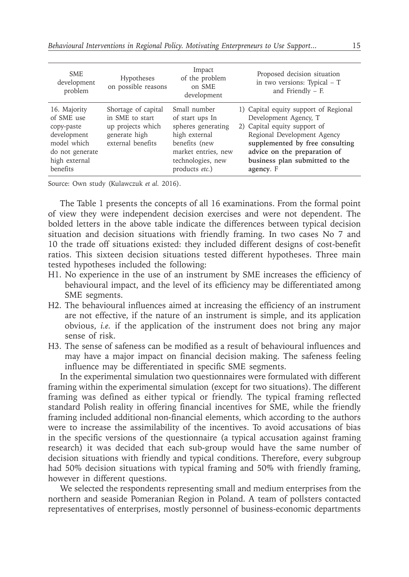| <b>SME</b><br>development<br>problem                                                                                   | Hypotheses<br>on possible reasons                                                                 | Impact<br>of the problem<br>on SME<br>development                                                                                                     | Proposed decision situation<br>in two versions: Typical $-$ T<br>and Friendly $-$ F.                                                                                                                                                            |
|------------------------------------------------------------------------------------------------------------------------|---------------------------------------------------------------------------------------------------|-------------------------------------------------------------------------------------------------------------------------------------------------------|-------------------------------------------------------------------------------------------------------------------------------------------------------------------------------------------------------------------------------------------------|
| 16. Majority<br>of SME use<br>copy-paste<br>development<br>model which<br>do not generate<br>high external<br>benefits | Shortage of capital<br>in SME to start<br>up projects which<br>generate high<br>external benefits | Small number<br>of start ups In<br>spheres generating<br>high external<br>benefits (new<br>market entries, new<br>technologies, new<br>products etc.) | 1) Capital equity support of Regional<br>Development Agency, T<br>2) Capital equity support of<br>Regional Development Agency<br>supplemented by free consulting<br>advice on the preparation of<br>business plan submitted to the<br>agency. F |

Source: Own study (Kulawczuk *et al.* 2016).

The Table 1 presents the concepts of all 16 examinations. From the formal point of view they were independent decision exercises and were not dependent. The bolded letters in the above table indicate the differences between typical decision situation and decision situations with friendly framing. In two cases No 7 and 10 the trade off situations existed: they included different designs of cost-benefit ratios. This sixteen decision situations tested different hypotheses. Three main tested hypotheses included the following:

- H1. No experience in the use of an instrument by SME increases the efficiency of behavioural impact, and the level of its efficiency may be differentiated among SME segments.
- H2. The behavioural influences aimed at increasing the efficiency of an instrument are not effective, if the nature of an instrument is simple, and its application obvious, *i.e.* if the application of the instrument does not bring any major sense of risk.
- H3. The sense of safeness can be modified as a result of behavioural influences and may have a major impact on financial decision making. The safeness feeling influence may be differentiated in specific SME segments.

In the experimental simulation two questionnaires were formulated with different framing within the experimental simulation (except for two situations). The different framing was defined as either typical or friendly. The typical framing reflected standard Polish reality in offering financial incentives for SME, while the friendly framing included additional non-financial elements, which according to the authors were to increase the assimilability of the incentives. To avoid accusations of bias in the specific versions of the questionnaire (a typical accusation against framing research) it was decided that each sub-group would have the same number of decision situations with friendly and typical conditions. Therefore, every subgroup had 50% decision situations with typical framing and 50% with friendly framing, however in different questions.

We selected the respondents representing small and medium enterprises from the northern and seaside Pomeranian Region in Poland. A team of pollsters contacted representatives of enterprises, mostly personnel of business-economic departments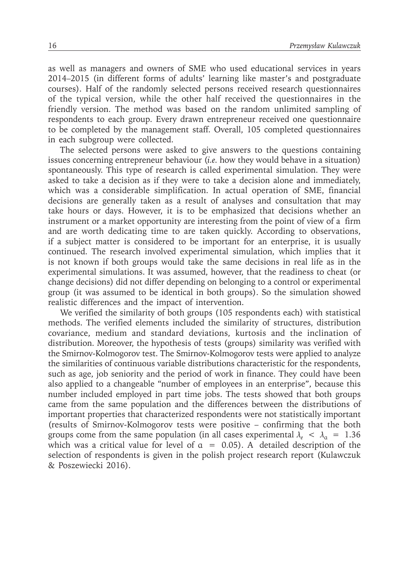as well as managers and owners of SME who used educational services in years 2014–2015 (in different forms of adults' learning like master's and postgraduate courses). Half of the randomly selected persons received research questionnaires of the typical version, while the other half received the questionnaires in the friendly version. The method was based on the random unlimited sampling of respondents to each group. Every drawn entrepreneur received one questionnaire to be completed by the management staff. Overall, 105 completed questionnaires in each subgroup were collected.

The selected persons were asked to give answers to the questions containing issues concerning entrepreneur behaviour (*i.e.* how they would behave in a situation) spontaneously. This type of research is called experimental simulation. They were asked to take a decision as if they were to take a decision alone and immediately, which was a considerable simplification. In actual operation of SME, financial decisions are generally taken as a result of analyses and consultation that may take hours or days. However, it is to be emphasized that decisions whether an instrument or a market opportunity are interesting from the point of view of a firm and are worth dedicating time to are taken quickly. According to observations, if a subject matter is considered to be important for an enterprise, it is usually continued. The research involved experimental simulation, which implies that it is not known if both groups would take the same decisions in real life as in the experimental simulations. It was assumed, however, that the readiness to cheat (or change decisions) did not differ depending on belonging to a control or experimental group (it was assumed to be identical in both groups). So the simulation showed realistic differences and the impact of intervention.

We verified the similarity of both groups (105 respondents each) with statistical methods. The verified elements included the similarity of structures, distribution covariance, medium and standard deviations, kurtosis and the inclination of distribution. Moreover, the hypothesis of tests (groups) similarity was verified with the Smirnov-Kolmogorov test. The Smirnov-Kolmogorov tests were applied to analyze the similarities of continuous variable distributions characteristic for the respondents, such as age, job seniority and the period of work in finance. They could have been also applied to a changeable "number of employees in an enterprise", because this number included employed in part time jobs. The tests showed that both groups came from the same population and the differences between the distributions of important properties that characterized respondents were not statistically important (results of Smirnov-Kolmogorov tests were positive – confirming that the both groups come from the same population (in all cases experimental  $\lambda_e < \lambda_a = 1.36$ which was a critical value for level of  $\alpha = 0.05$ ). A detailed description of the selection of respondents is given in the polish project research report (Kulawczuk & Poszewiecki 2016).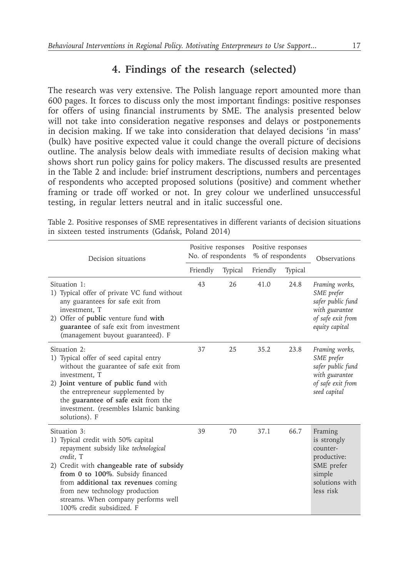#### **4. Findings of the research (selected)**

The research was very extensive. The Polish language report amounted more than 600 pages. It forces to discuss only the most important findings: positive responses for offers of using financial instruments by SME. The analysis presented below will not take into consideration negative responses and delays or postponements in decision making. If we take into consideration that delayed decisions 'in mass' (bulk) have positive expected value it could change the overall picture of decisions outline. The analysis below deals with immediate results of decision making what shows short run policy gains for policy makers. The discussed results are presented in the Table 2 and include: brief instrument descriptions, numbers and percentages of respondents who accepted proposed solutions (positive) and comment whether framing or trade off worked or not. In grey colour we underlined unsuccessful testing, in regular letters neutral and in italic successful one.

| Decision situations                                                                                                                                                                                                                                                                                                                   | Positive responses<br>No. of respondents |                | Positive responses<br>% of respondents |                | Observations                                                                                               |
|---------------------------------------------------------------------------------------------------------------------------------------------------------------------------------------------------------------------------------------------------------------------------------------------------------------------------------------|------------------------------------------|----------------|----------------------------------------|----------------|------------------------------------------------------------------------------------------------------------|
|                                                                                                                                                                                                                                                                                                                                       | Friendly                                 | <b>Typical</b> | Friendly                               | <b>Typical</b> |                                                                                                            |
| Situation 1:<br>1) Typical offer of private VC fund without<br>any guarantees for safe exit from<br>investment. T<br>2) Offer of public venture fund with<br>guarantee of safe exit from investment<br>(management buyout guaranteed). F                                                                                              | 43                                       | 26             | 41.0                                   | 24.8           | Framing works,<br>SME prefer<br>safer public fund<br>with guarantee<br>of safe exit from<br>equity capital |
| Situation 2:<br>1) Typical offer of seed capital entry<br>without the guarantee of safe exit from<br>investment. T<br>2) Joint venture of public fund with<br>the entrepreneur supplemented by<br>the guarantee of safe exit from the<br>investment. (resembles Islamic banking<br>solutions). F                                      | 37                                       | 25             | 35.2                                   | 23.8           | Framing works,<br>SME prefer<br>safer public fund<br>with guarantee<br>of safe exit from<br>seed capital   |
| Situation 3:<br>1) Typical credit with 50% capital<br>repayment subsidy like technological<br>credit, T<br>2) Credit with changeable rate of subsidy<br>from 0 to 100%. Subsidy financed<br>from additional tax revenues coming<br>from new technology production<br>streams. When company performs well<br>100% credit subsidized. F | 39                                       | 70             | 37.1                                   | 66.7           | Framing<br>is strongly<br>counter-<br>productive:<br>SME prefer<br>simple<br>solutions with<br>less risk   |

Table 2. Positive responses of SME representatives in different variants of decision situations in sixteen tested instruments (Gdańsk, Poland 2014)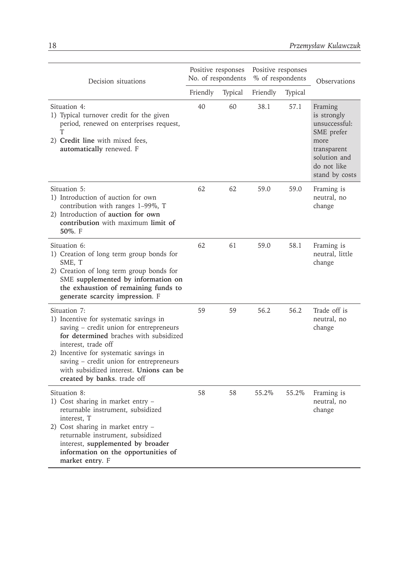| Decision situations                                                                                                                                                                                                                                                                                                               | Positive responses<br>No. of respondents |                | Positive responses<br>% of respondents |         | Observations                                                                                                                  |
|-----------------------------------------------------------------------------------------------------------------------------------------------------------------------------------------------------------------------------------------------------------------------------------------------------------------------------------|------------------------------------------|----------------|----------------------------------------|---------|-------------------------------------------------------------------------------------------------------------------------------|
|                                                                                                                                                                                                                                                                                                                                   | Friendly                                 | <b>Typical</b> | Friendly                               | Typical |                                                                                                                               |
| Situation 4:<br>1) Typical turnover credit for the given<br>period, renewed on enterprises request,<br>T<br>2) Credit line with mixed fees,<br>automatically renewed. F                                                                                                                                                           | 40                                       | 60             | 38.1                                   | 57.1    | Framing<br>is strongly<br>unsuccessful:<br>SME prefer<br>more<br>transparent<br>solution and<br>do not like<br>stand by costs |
| Situation 5:<br>1) Introduction of auction for own<br>contribution with ranges 1-99%, T<br>2) Introduction of auction for own<br>contribution with maximum limit of<br>$50\%$ . F                                                                                                                                                 | 62                                       | 62             | 59.0                                   | 59.0    | Framing is<br>neutral, no<br>change                                                                                           |
| Situation 6:<br>1) Creation of long term group bonds for<br>SME, T<br>2) Creation of long term group bonds for<br>SME supplemented by information on<br>the exhaustion of remaining funds to<br>generate scarcity impression. F                                                                                                   | 62                                       | 61             | 59.0                                   | 58.1    | Framing is<br>neutral, little<br>change                                                                                       |
| Situation 7:<br>1) Incentive for systematic savings in<br>saving - credit union for entrepreneurs<br>for determined braches with subsidized<br>interest, trade off<br>2) Incentive for systematic savings in<br>saving – credit union for entrepreneurs<br>with subsidized interest. Unions can be<br>created by banks. trade off | 59                                       | 59             | 56.2                                   | 56.2    | Trade off is<br>neutral, no<br>change                                                                                         |
| Situation 8:<br>1) Cost sharing in market entry -<br>returnable instrument, subsidized<br>interest. T<br>2) Cost sharing in market entry -<br>returnable instrument, subsidized<br>interest, supplemented by broader<br>information on the opportunities of<br>market entry. F                                                    | 58                                       | 58             | 55.2%                                  | 55.2%   | Framing is<br>neutral, no<br>change                                                                                           |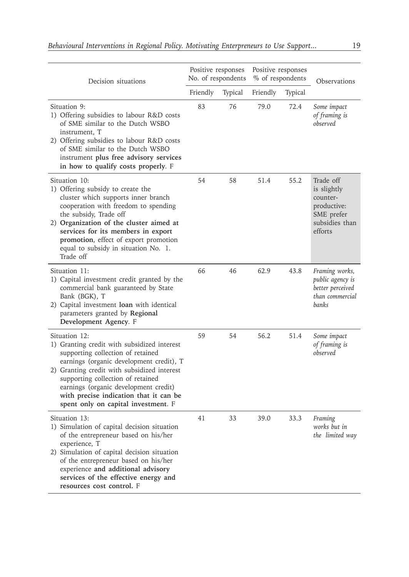| Decision situations                                                                                                                                                                                                                                                                                                                                         | Positive responses<br>No. of respondents |                | Positive responses<br>% of respondents |         | Observations                                                                                   |
|-------------------------------------------------------------------------------------------------------------------------------------------------------------------------------------------------------------------------------------------------------------------------------------------------------------------------------------------------------------|------------------------------------------|----------------|----------------------------------------|---------|------------------------------------------------------------------------------------------------|
|                                                                                                                                                                                                                                                                                                                                                             | Friendly                                 | <b>Typical</b> | Friendly                               | Typical |                                                                                                |
| Situation 9:<br>1) Offering subsidies to labour R&D costs<br>of SME similar to the Dutch WSBO<br>instrument, T<br>2) Offering subsidies to labour R&D costs<br>of SME similar to the Dutch WSBO<br>instrument plus free advisory services<br>in how to qualify costs properly. F                                                                            | 83                                       | 76             | 79.0                                   | 72.4    | Some impact<br>of framing is<br>observed                                                       |
| Situation 10:<br>1) Offering subsidy to create the<br>cluster which supports inner branch<br>cooperation with freedom to spending<br>the subsidy, Trade off<br>2) Organization of the cluster aimed at<br>services for its members in export<br>promotion, effect of export promotion<br>equal to subsidy in situation No. 1.<br>Trade off                  | 54                                       | 58             | 51.4                                   | 55.2    | Trade off<br>is slightly<br>counter-<br>productive:<br>SME prefer<br>subsidies than<br>efforts |
| Situation 11:<br>1) Capital investment credit granted by the<br>commercial bank guaranteed by State<br>Bank (BGK), T<br>2) Capital investment <b>loan</b> with identical<br>parameters granted by Regional<br>Development Agency. F                                                                                                                         | 66                                       | 46             | 62.9                                   | 43.8    | Framing works,<br><i>public agency is</i><br>better perceived<br>than commercial<br>banks      |
| Situation 12:<br>1) Granting credit with subsidized interest<br>supporting collection of retained<br>earnings (organic development credit), T<br>2) Granting credit with subsidized interest<br>supporting collection of retained<br>earnings (organic development credit)<br>with precise indication that it can be<br>spent only on capital investment. F | 59                                       | 54             | 56.2                                   | 51.4    | Some impact<br>of framing is<br>observed                                                       |
| Situation 13:<br>1) Simulation of capital decision situation<br>of the entrepreneur based on his/her<br>experience, T<br>2) Simulation of capital decision situation<br>of the entrepreneur based on his/her<br>experience and additional advisory<br>services of the effective energy and<br>resources cost control. F                                     | 41                                       | 33             | 39.0                                   | 33.3    | Framing<br>works but in<br>the limited way                                                     |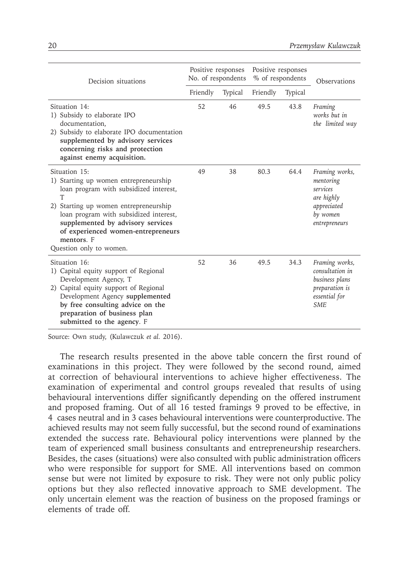| Decision situations                                                                                                                                                                                                                                                                                          | Positive responses<br>No. of respondents |                | Positive responses<br>% of respondents |                | Observations                                                                                         |
|--------------------------------------------------------------------------------------------------------------------------------------------------------------------------------------------------------------------------------------------------------------------------------------------------------------|------------------------------------------|----------------|----------------------------------------|----------------|------------------------------------------------------------------------------------------------------|
|                                                                                                                                                                                                                                                                                                              | Friendly                                 | <b>Typical</b> | Friendly                               | <b>Typical</b> |                                                                                                      |
| Situation 14:<br>1) Subsidy to elaborate IPO<br>documentation.<br>2) Subsidy to elaborate IPO documentation<br>supplemented by advisory services<br>concerning risks and protection<br>against enemy acquisition.                                                                                            | 52                                       | 46             | 49.5                                   | 43.8           | Framing<br>works but in<br>the limited way                                                           |
| Situation 15:<br>1) Starting up women entrepreneurship<br>loan program with subsidized interest,<br>T<br>2) Starting up women entrepreneurship<br>loan program with subsidized interest,<br>supplemented by advisory services<br>of experienced women-entrepreneurs<br>mentors. F<br>Question only to women. | 49                                       | 38             | 80.3                                   | 64.4           | Framing works,<br>mentoring<br>services<br>are highly<br>appreciated<br>by women<br>entrepreneurs    |
| Situation 16:<br>1) Capital equity support of Regional<br>Development Agency, T<br>2) Capital equity support of Regional<br>Development Agency supplemented<br>by free consulting advice on the<br>preparation of business plan<br>submitted to the agency. F                                                | 52                                       | 36             | 49.5                                   | 34.3           | Framing works,<br>consultation in<br>business plans<br>preparation is<br>essential for<br><b>SME</b> |

Source: Own study, (Kulawczuk *et al.* 2016).

The research results presented in the above table concern the first round of examinations in this project. They were followed by the second round, aimed at correction of behavioural interventions to achieve higher effectiveness. The examination of experimental and control groups revealed that results of using behavioural interventions differ significantly depending on the offered instrument and proposed framing. Out of all 16 tested framings 9 proved to be effective, in 4 cases neutral and in 3 cases behavioural interventions were counterproductive. The achieved results may not seem fully successful, but the second round of examinations extended the success rate. Behavioural policy interventions were planned by the team of experienced small business consultants and entrepreneurship researchers. Besides, the cases (situations) were also consulted with public administration officers who were responsible for support for SME. All interventions based on common sense but were not limited by exposure to risk. They were not only public policy options but they also reflected innovative approach to SME development. The only uncertain element was the reaction of business on the proposed framings or elements of trade off.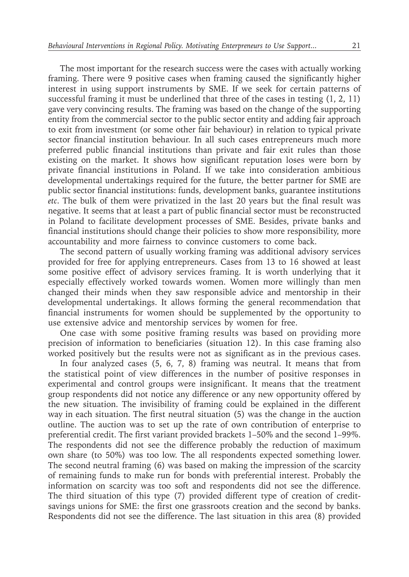The most important for the research success were the cases with actually working framing. There were 9 positive cases when framing caused the significantly higher interest in using support instruments by SME. If we seek for certain patterns of successful framing it must be underlined that three of the cases in testing (1, 2, 11) gave very convincing results. The framing was based on the change of the supporting entity from the commercial sector to the public sector entity and adding fair approach to exit from investment (or some other fair behaviour) in relation to typical private sector financial institution behaviour. In all such cases entrepreneurs much more preferred public financial institutions than private and fair exit rules than those existing on the market. It shows how significant reputation loses were born by private financial institutions in Poland. If we take into consideration ambitious developmental undertakings required for the future, the better partner for SME are public sector financial institutions: funds, development banks, guarantee institutions *etc*. The bulk of them were privatized in the last 20 years but the final result was negative. It seems that at least a part of public financial sector must be reconstructed in Poland to facilitate development processes of SME. Besides, private banks and financial institutions should change their policies to show more responsibility, more accountability and more fairness to convince customers to come back.

The second pattern of usually working framing was additional advisory services provided for free for applying entrepreneurs. Cases from 13 to 16 showed at least some positive effect of advisory services framing. It is worth underlying that it especially effectively worked towards women. Women more willingly than men changed their minds when they saw responsible advice and mentorship in their developmental undertakings. It allows forming the general recommendation that financial instruments for women should be supplemented by the opportunity to use extensive advice and mentorship services by women for free.

One case with some positive framing results was based on providing more precision of information to beneficiaries (situation 12). In this case framing also worked positively but the results were not as significant as in the previous cases.

In four analyzed cases (5, 6, 7, 8) framing was neutral. It means that from the statistical point of view differences in the number of positive responses in experimental and control groups were insignificant. It means that the treatment group respondents did not notice any difference or any new opportunity offered by the new situation. The invisibility of framing could be explained in the different way in each situation. The first neutral situation (5) was the change in the auction outline. The auction was to set up the rate of own contribution of enterprise to preferential credit. The first variant provided brackets 1–50% and the second 1–99%. The respondents did not see the difference probably the reduction of maximum own share (to 50%) was too low. The all respondents expected something lower. The second neutral framing (6) was based on making the impression of the scarcity of remaining funds to make run for bonds with preferential interest. Probably the information on scarcity was too soft and respondents did not see the difference. The third situation of this type (7) provided different type of creation of creditsavings unions for SME: the first one grassroots creation and the second by banks. Respondents did not see the difference. The last situation in this area (8) provided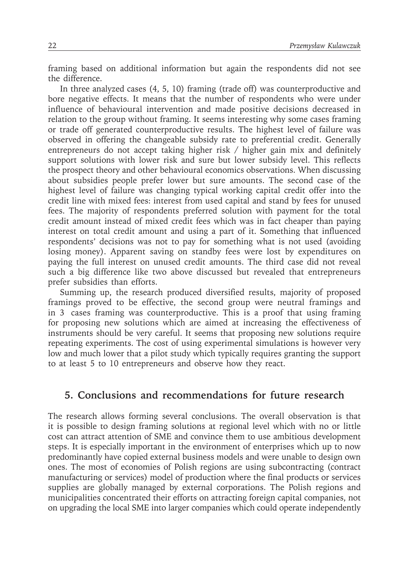framing based on additional information but again the respondents did not see the difference.

In three analyzed cases (4, 5, 10) framing (trade off) was counterproductive and bore negative effects. It means that the number of respondents who were under influence of behavioural intervention and made positive decisions decreased in relation to the group without framing. It seems interesting why some cases framing or trade off generated counterproductive results. The highest level of failure was observed in offering the changeable subsidy rate to preferential credit. Generally entrepreneurs do not accept taking higher risk / higher gain mix and definitely support solutions with lower risk and sure but lower subsidy level. This reflects the prospect theory and other behavioural economics observations. When discussing about subsidies people prefer lower but sure amounts. The second case of the highest level of failure was changing typical working capital credit offer into the credit line with mixed fees: interest from used capital and stand by fees for unused fees. The majority of respondents preferred solution with payment for the total credit amount instead of mixed credit fees which was in fact cheaper than paying interest on total credit amount and using a part of it. Something that influenced respondents' decisions was not to pay for something what is not used (avoiding losing money). Apparent saving on standby fees were lost by expenditures on paying the full interest on unused credit amounts. The third case did not reveal such a big difference like two above discussed but revealed that entrepreneurs prefer subsidies than efforts.

Summing up, the research produced diversified results, majority of proposed framings proved to be effective, the second group were neutral framings and in 3 cases framing was counterproductive. This is a proof that using framing for proposing new solutions which are aimed at increasing the effectiveness of instruments should be very careful. It seems that proposing new solutions require repeating experiments. The cost of using experimental simulations is however very low and much lower that a pilot study which typically requires granting the support to at least 5 to 10 entrepreneurs and observe how they react.

#### **5. Conclusions and recommendations for future research**

The research allows forming several conclusions. The overall observation is that it is possible to design framing solutions at regional level which with no or little cost can attract attention of SME and convince them to use ambitious development steps. It is especially important in the environment of enterprises which up to now predominantly have copied external business models and were unable to design own ones. The most of economies of Polish regions are using subcontracting (contract manufacturing or services) model of production where the final products or services supplies are globally managed by external corporations. The Polish regions and municipalities concentrated their efforts on attracting foreign capital companies, not on upgrading the local SME into larger companies which could operate independently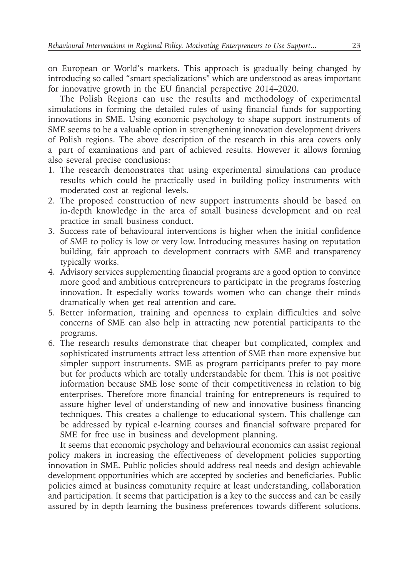on European or World's markets. This approach is gradually being changed by introducing so called "smart specializations" which are understood as areas important for innovative growth in the EU financial perspective 2014–2020.

The Polish Regions can use the results and methodology of experimental simulations in forming the detailed rules of using financial funds for supporting innovations in SME. Using economic psychology to shape support instruments of SME seems to be a valuable option in strengthening innovation development drivers of Polish regions. The above description of the research in this area covers only a part of examinations and part of achieved results. However it allows forming also several precise conclusions:

- 1. The research demonstrates that using experimental simulations can produce results which could be practically used in building policy instruments with moderated cost at regional levels.
- 2. The proposed construction of new support instruments should be based on in-depth knowledge in the area of small business development and on real practice in small business conduct.
- 3. Success rate of behavioural interventions is higher when the initial confidence of SME to policy is low or very low. Introducing measures basing on reputation building, fair approach to development contracts with SME and transparency typically works.
- 4. Advisory services supplementing financial programs are a good option to convince more good and ambitious entrepreneurs to participate in the programs fostering innovation. It especially works towards women who can change their minds dramatically when get real attention and care.
- 5. Better information, training and openness to explain difficulties and solve concerns of SME can also help in attracting new potential participants to the programs.
- 6. The research results demonstrate that cheaper but complicated, complex and sophisticated instruments attract less attention of SME than more expensive but simpler support instruments. SME as program participants prefer to pay more but for products which are totally understandable for them. This is not positive information because SME lose some of their competitiveness in relation to big enterprises. Therefore more financial training for entrepreneurs is required to assure higher level of understanding of new and innovative business financing techniques. This creates a challenge to educational system. This challenge can be addressed by typical e-learning courses and financial software prepared for SME for free use in business and development planning.

It seems that economic psychology and behavioural economics can assist regional policy makers in increasing the effectiveness of development policies supporting innovation in SME. Public policies should address real needs and design achievable development opportunities which are accepted by societies and beneficiaries. Public policies aimed at business community require at least understanding, collaboration and participation. It seems that participation is a key to the success and can be easily assured by in depth learning the business preferences towards different solutions.